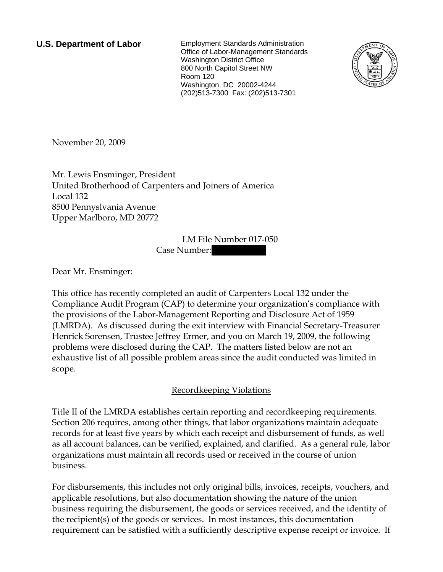**U.S. Department of Labor** Employment Standards Administration Office of Labor-Management Standards Washington District Office 800 North Capitol Street NW Room 120 Washington, DC 20002-4244 (202)513-7300 Fax: (202)513-7301



November 20, 2009

Mr. Lewis Ensminger, President United Brotherhood of Carpenters and Joiners of America Local 132 8500 Pennyslvania Avenue Upper Marlboro, MD 20772

> LM File Number 017-050 Case Number:

Dear Mr. Ensminger:

This office has recently completed an audit of Carpenters Local 132 under the Compliance Audit Program (CAP) to determine your organization's compliance with the provisions of the Labor-Management Reporting and Disclosure Act of 1959 (LMRDA). As discussed during the exit interview with Financial Secretary-Treasurer Henrick Sorensen, Trustee Jeffrey Ermer, and you on March 19, 2009, the following problems were disclosed during the CAP. The matters listed below are not an exhaustive list of all possible problem areas since the audit conducted was limited in scope.

# Recordkeeping Violations

Title II of the LMRDA establishes certain reporting and recordkeeping requirements. Section 206 requires, among other things, that labor organizations maintain adequate records for at least five years by which each receipt and disbursement of funds, as well as all account balances, can be verified, explained, and clarified. As a general rule, labor organizations must maintain all records used or received in the course of union business.

For disbursements, this includes not only original bills, invoices, receipts, vouchers, and applicable resolutions, but also documentation showing the nature of the union business requiring the disbursement, the goods or services received, and the identity of the recipient(s) of the goods or services. In most instances, this documentation requirement can be satisfied with a sufficiently descriptive expense receipt or invoice. If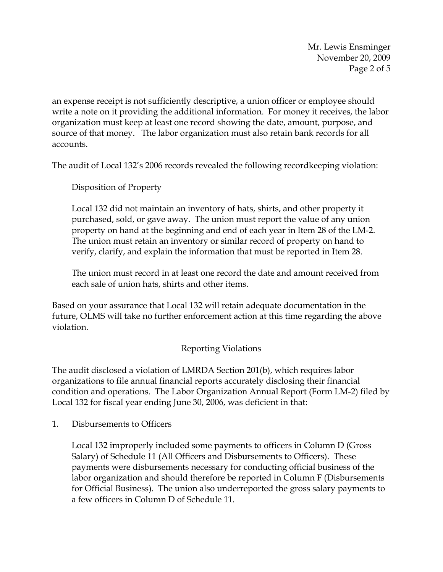Mr. Lewis Ensminger November 20, 2009 Page 2 of 5

an expense receipt is not sufficiently descriptive, a union officer or employee should write a note on it providing the additional information. For money it receives, the labor organization must keep at least one record showing the date, amount, purpose, and source of that money. The labor organization must also retain bank records for all accounts.

The audit of Local 132's 2006 records revealed the following recordkeeping violation:

Disposition of Property

Local 132 did not maintain an inventory of hats, shirts, and other property it purchased, sold, or gave away. The union must report the value of any union property on hand at the beginning and end of each year in Item 28 of the LM-2. The union must retain an inventory or similar record of property on hand to verify, clarify, and explain the information that must be reported in Item 28.

The union must record in at least one record the date and amount received from each sale of union hats, shirts and other items.

Based on your assurance that Local 132 will retain adequate documentation in the future, OLMS will take no further enforcement action at this time regarding the above violation.

## Reporting Violations

The audit disclosed a violation of LMRDA Section 201(b), which requires labor organizations to file annual financial reports accurately disclosing their financial condition and operations. The Labor Organization Annual Report (Form LM-2) filed by Local 132 for fiscal year ending June 30, 2006, was deficient in that:

1. Disbursements to Officers

Local 132 improperly included some payments to officers in Column D (Gross Salary) of Schedule 11 (All Officers and Disbursements to Officers). These payments were disbursements necessary for conducting official business of the labor organization and should therefore be reported in Column F (Disbursements for Official Business). The union also underreported the gross salary payments to a few officers in Column D of Schedule 11.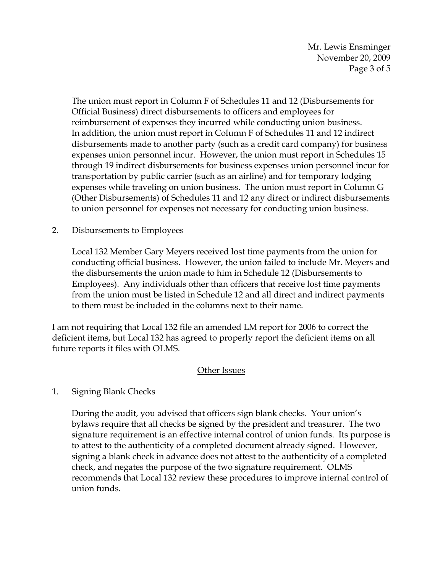Mr. Lewis Ensminger November 20, 2009 Page 3 of 5

The union must report in Column F of Schedules 11 and 12 (Disbursements for Official Business) direct disbursements to officers and employees for reimbursement of expenses they incurred while conducting union business. In addition, the union must report in Column F of Schedules 11 and 12 indirect disbursements made to another party (such as a credit card company) for business expenses union personnel incur. However, the union must report in Schedules 15 through 19 indirect disbursements for business expenses union personnel incur for transportation by public carrier (such as an airline) and for temporary lodging expenses while traveling on union business. The union must report in Column G (Other Disbursements) of Schedules 11 and 12 any direct or indirect disbursements to union personnel for expenses not necessary for conducting union business.

## 2. Disbursements to Employees

Local 132 Member Gary Meyers received lost time payments from the union for conducting official business. However, the union failed to include Mr. Meyers and the disbursements the union made to him in Schedule 12 (Disbursements to Employees). Any individuals other than officers that receive lost time payments from the union must be listed in Schedule 12 and all direct and indirect payments to them must be included in the columns next to their name.

I am not requiring that Local 132 file an amended LM report for 2006 to correct the deficient items, but Local 132 has agreed to properly report the deficient items on all future reports it files with OLMS.

## Other Issues

## 1. Signing Blank Checks

During the audit, you advised that officers sign blank checks. Your union's bylaws require that all checks be signed by the president and treasurer. The two signature requirement is an effective internal control of union funds. Its purpose is to attest to the authenticity of a completed document already signed. However, signing a blank check in advance does not attest to the authenticity of a completed check, and negates the purpose of the two signature requirement. OLMS recommends that Local 132 review these procedures to improve internal control of union funds.